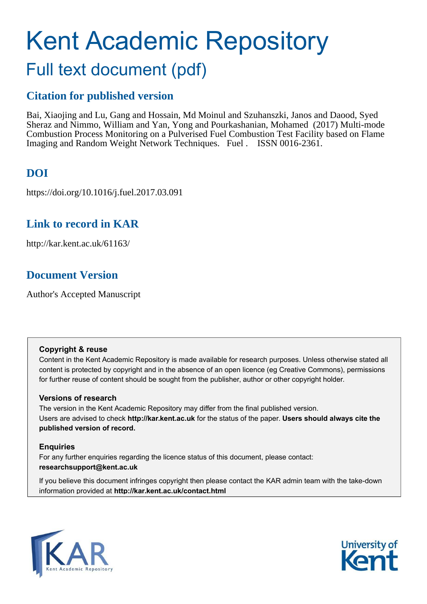# Kent Academic Repository Full text document (pdf)

## **Citation for published version**

Bai, Xiaojing and Lu, Gang and Hossain, Md Moinul and Szuhanszki, Janos and Daood, Syed Sheraz and Nimmo, William and Yan, Yong and Pourkashanian, Mohamed (2017) Multi-mode Combustion Process Monitoring on a Pulverised Fuel Combustion Test Facility based on Flame Imaging and Random Weight Network Techniques. Fuel . ISSN 0016-2361.

## **DOI**

https://doi.org/10.1016/j.fuel.2017.03.091

### **Link to record in KAR**

http://kar.kent.ac.uk/61163/

### **Document Version**

Author's Accepted Manuscript

#### **Copyright & reuse**

Content in the Kent Academic Repository is made available for research purposes. Unless otherwise stated all content is protected by copyright and in the absence of an open licence (eg Creative Commons), permissions for further reuse of content should be sought from the publisher, author or other copyright holder.

### **Versions of research**

The version in the Kent Academic Repository may differ from the final published version. Users are advised to check **http://kar.kent.ac.uk** for the status of the paper. **Users should always cite the published version of record.**

### **Enquiries**

For any further enquiries regarding the licence status of this document, please contact: **researchsupport@kent.ac.uk**

If you believe this document infringes copyright then please contact the KAR admin team with the take-down information provided at **http://kar.kent.ac.uk/contact.html**



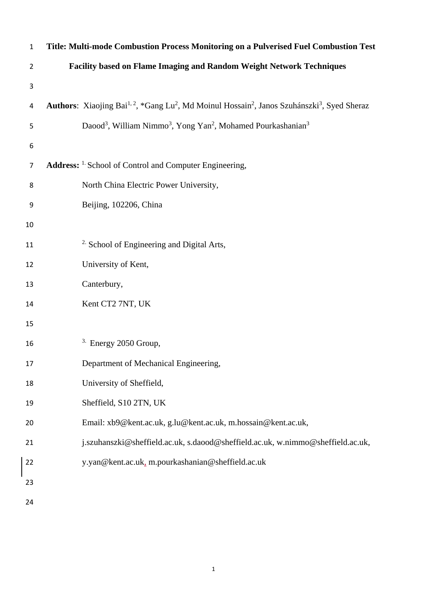| $\mathbf{1}$   | Title: Multi-mode Combustion Process Monitoring on a Pulverised Fuel Combustion Test                                                         |
|----------------|----------------------------------------------------------------------------------------------------------------------------------------------|
| $\overline{2}$ | Facility based on Flame Imaging and Random Weight Network Techniques                                                                         |
| $\mathsf 3$    |                                                                                                                                              |
| 4              | Authors: Xiaojing Bai <sup>1, 2</sup> , *Gang Lu <sup>2</sup> , Md Moinul Hossain <sup>2</sup> , Janos Szuhánszki <sup>3</sup> , Syed Sheraz |
| 5              | Daood <sup>3</sup> , William Nimmo <sup>3</sup> , Yong Yan <sup>2</sup> , Mohamed Pourkashanian <sup>3</sup>                                 |
| 6              |                                                                                                                                              |
| $\overline{7}$ | Address: <sup>1.</sup> School of Control and Computer Engineering,                                                                           |
| 8              | North China Electric Power University,                                                                                                       |
| 9              | Beijing, 102206, China                                                                                                                       |
| 10             |                                                                                                                                              |
| 11             | <sup>2.</sup> School of Engineering and Digital Arts,                                                                                        |
| 12             | University of Kent,                                                                                                                          |
| 13             | Canterbury,                                                                                                                                  |
| 14             | Kent CT2 7NT, UK                                                                                                                             |
| 15             |                                                                                                                                              |
| 16             | <sup>3.</sup> Energy 2050 Group,                                                                                                             |
| 17             | Department of Mechanical Engineering,                                                                                                        |
| 18             | University of Sheffield,                                                                                                                     |
| 19             | Sheffield, S10 2TN, UK                                                                                                                       |
| 20             | Email: xb9@kent.ac.uk, g.lu@kent.ac.uk, m.hossain@kent.ac.uk,                                                                                |
| 21             | j.szuhanszki@sheffield.ac.uk, s.daood@sheffield.ac.uk, w.nimmo@sheffield.ac.uk,                                                              |
| 22             | y.yan@kent.ac.uk, m.pourkashanian@sheffield.ac.uk                                                                                            |
| 23             |                                                                                                                                              |
| 24             |                                                                                                                                              |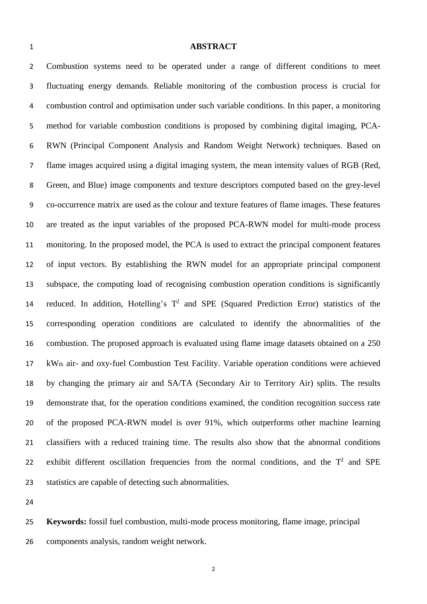#### **ABSTRACT**

Combustion systems need to be operated under a range of different conditions to meet fluctuating energy demands. Reliable monitoring of the combustion process is crucial for combustion control and optimisation under such variable conditions. In this paper, a monitoring method for variable combustion conditions is proposed by combining digital imaging, PCA-RWN (Principal Component Analysis and Random Weight Network) techniques. Based on flame images acquired using a digital imaging system, the mean intensity values of RGB (Red, Green, and Blue) image components and texture descriptors computed based on the grey-level co-occurrence matrix are used as the colour and texture features of flame images. These features are treated as the input variables of the proposed PCA-RWN model for multi-mode process monitoring. In the proposed model, the PCA is used to extract the principal component features of input vectors. By establishing the RWN model for an appropriate principal component subspace, the computing load of recognising combustion operation conditions is significantly 14 reduced. In addition, Hotelling's  $T^2$  and SPE (Squared Prediction Error) statistics of the corresponding operation conditions are calculated to identify the abnormalities of the combustion. The proposed approach is evaluated using flame image datasets obtained on a 250 kWth air- and oxy-fuel Combustion Test Facility. Variable operation conditions were achieved by changing the primary air and SA/TA (Secondary Air to Territory Air) splits. The results demonstrate that, for the operation conditions examined, the condition recognition success rate of the proposed PCA-RWN model is over 91%, which outperforms other machine learning classifiers with a reduced training time. The results also show that the abnormal conditions 22 exhibit different oscillation frequencies from the normal conditions, and the  $T^2$  and SPE statistics are capable of detecting such abnormalities.

 **Keywords:** fossil fuel combustion, multi-mode process monitoring, flame image, principal components analysis, random weight network.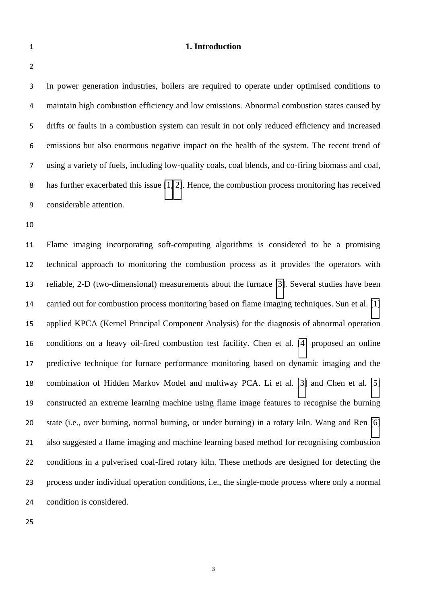#### **1. Introduction**

|  |  | I |
|--|--|---|
|  |  |   |
|  |  |   |
|  |  |   |
|  |  |   |
|  |  |   |
|  |  |   |
|  |  |   |
|  |  |   |
|  |  |   |
|  |  |   |
|  |  |   |
|  |  |   |
|  |  |   |
|  |  |   |
|  |  |   |
|  |  |   |
|  |  |   |
|  |  |   |
|  |  |   |
|  |  |   |
|  |  |   |

In power generation industries, boilers are required to operate under optimised conditions to maintain high combustion efficiency and low emissions. Abnormal combustion states caused by drifts or faults in a combustion system can result in not only reduced efficiency and increased emissions but also enormous negative impact on the health of the system. The recent trend of using a variety of fuels, including low-quality coals, coal blends, and co-firing biomass and coal, has further exacerbated this issue [\[1,](#page-21-0) [2\]](#page-22-0). Hence, the combustion process monitoring has received considerable attention.

 Flame imaging incorporating soft-computing algorithms is considered to be a promising technical approach to monitoring the combustion process as it provides the operators with reliable, 2-D (two-dimensional) measurements about the furnace [\[3\]](#page-22-1). Several studies have been carried out for combustion process monitoring based on flame imaging techniques. Sun et al. [\[1\]](#page-21-0) applied KPCA (Kernel Principal Component Analysis) for the diagnosis of abnormal operation conditions on a heavy oil-fired combustion test facility. Chen et al. [\[4\]](#page-22-2) proposed an online predictive technique for furnace performance monitoring based on dynamic imaging and the combination of Hidden Markov Model and multiway PCA. Li et al. [\[3\]](#page-22-1) and Chen et al. [\[5\]](#page-22-3) constructed an extreme learning machine using flame image features to recognise the burning state (i.e., over burning, normal burning, or under burning) in a rotary kiln. Wang and Ren [\[6\]](#page-22-4) also suggested a flame imaging and machine learning based method for recognising combustion conditions in a pulverised coal-fired rotary kiln. These methods are designed for detecting the process under individual operation conditions, i.e., the single-mode process where only a normal condition is considered.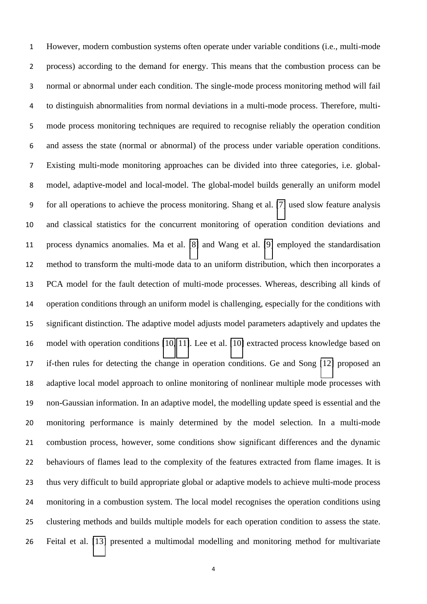However, modern combustion systems often operate under variable conditions (i.e., multi-mode process) according to the demand for energy. This means that the combustion process can be normal or abnormal under each condition. The single-mode process monitoring method will fail to distinguish abnormalities from normal deviations in a multi-mode process. Therefore, multi-mode process monitoring techniques are required to recognise reliably the operation condition and assess the state (normal or abnormal) of the process under variable operation conditions. Existing multi-mode monitoring approaches can be divided into three categories, i.e. global-model, adaptive-model and local-model. The global-model builds generally an uniform model for all operations to achieve the process monitoring. Shang et al. [\[7\]](#page-22-5) used slow feature analysis and classical statistics for the concurrent monitoring of operation condition deviations and process dynamics anomalies. Ma et al. [\[8\]](#page-22-6) and Wang et al. [\[9\]](#page-22-7) employed the standardisation method to transform the multi-mode data to an uniform distribution, which then incorporates a PCA model for the fault detection of multi-mode processes. Whereas, describing all kinds of operation conditions through an uniform model is challenging, especially for the conditions with significant distinction. The adaptive model adjusts model parameters adaptively and updates the model with operation conditions [\[10,](#page-22-8) [11\]](#page-22-9). Lee et al. [\[10\]](#page-22-8) extracted process knowledge based on if-then rules for detecting the change in operation conditions. Ge and Song [\[12\]](#page-23-0) proposed an adaptive local model approach to online monitoring of nonlinear multiple mode processes with non-Gaussian information. In an adaptive model, the modelling update speed is essential and the monitoring performance is mainly determined by the model selection. In a multi-mode combustion process, however, some conditions show significant differences and the dynamic behaviours of flames lead to the complexity of the features extracted from flame images. It is thus very difficult to build appropriate global or adaptive models to achieve multi-mode process monitoring in a combustion system. The local model recognises the operation conditions using clustering methods and builds multiple models for each operation condition to assess the state. Feital et al. [\[13\]](#page-23-1) presented a multimodal modelling and monitoring method for multivariate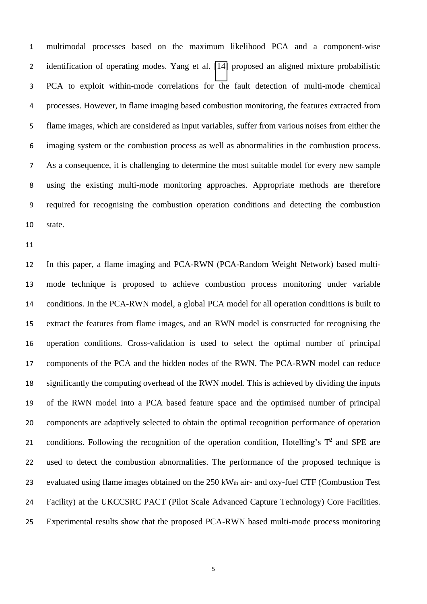multimodal processes based on the maximum likelihood PCA and a component-wise identification of operating modes. Yang et al. [\[14\]](#page-23-2) proposed an aligned mixture probabilistic PCA to exploit within-mode correlations for the fault detection of multi-mode chemical processes. However, in flame imaging based combustion monitoring, the features extracted from flame images, which are considered as input variables, suffer from various noises from either the imaging system or the combustion process as well as abnormalities in the combustion process. As a consequence, it is challenging to determine the most suitable model for every new sample using the existing multi-mode monitoring approaches. Appropriate methods are therefore required for recognising the combustion operation conditions and detecting the combustion state.

 In this paper, a flame imaging and PCA-RWN (PCA-Random Weight Network) based multi- mode technique is proposed to achieve combustion process monitoring under variable conditions. In the PCA-RWN model, a global PCA model for all operation conditions is built to extract the features from flame images, and an RWN model is constructed for recognising the operation conditions. Cross-validation is used to select the optimal number of principal components of the PCA and the hidden nodes of the RWN. The PCA-RWN model can reduce significantly the computing overhead of the RWN model. This is achieved by dividing the inputs of the RWN model into a PCA based feature space and the optimised number of principal components are adaptively selected to obtain the optimal recognition performance of operation 21 conditions. Following the recognition of the operation condition, Hotelling's  $T^2$  and SPE are used to detect the combustion abnormalities. The performance of the proposed technique is 23 evaluated using flame images obtained on the 250 kWth air- and oxy-fuel CTF (Combustion Test Facility) at the UKCCSRC PACT (Pilot Scale Advanced Capture Technology) Core Facilities. Experimental results show that the proposed PCA-RWN based multi-mode process monitoring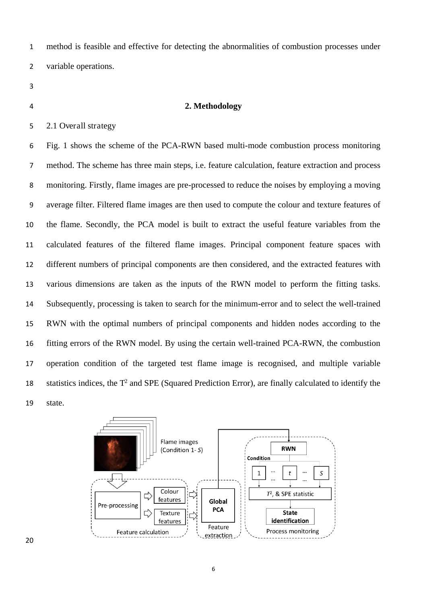method is feasible and effective for detecting the abnormalities of combustion processes under variable operations.

#### **2. Methodology**

2.1 Overall strategy

Fig. 1 shows the scheme of the PCA-RWN based multi-mode combustion process monitoring method. The scheme has three main steps, i.e. feature calculation, feature extraction and process monitoring. Firstly, flame images are pre-processed to reduce the noises by employing a moving average filter. Filtered flame images are then used to compute the colour and texture features of the flame. Secondly, the PCA model is built to extract the useful feature variables from the calculated features of the filtered flame images. Principal component feature spaces with different numbers of principal components are then considered, and the extracted features with various dimensions are taken as the inputs of the RWN model to perform the fitting tasks. Subsequently, processing is taken to search for the minimum-error and to select the well-trained RWN with the optimal numbers of principal components and hidden nodes according to the fitting errors of the RWN model. By using the certain well-trained PCA-RWN, the combustion operation condition of the targeted test flame image is recognised, and multiple variable statistics indices, the  $T^2$  and SPE (Squared Prediction Error), are finally calculated to identify the state.

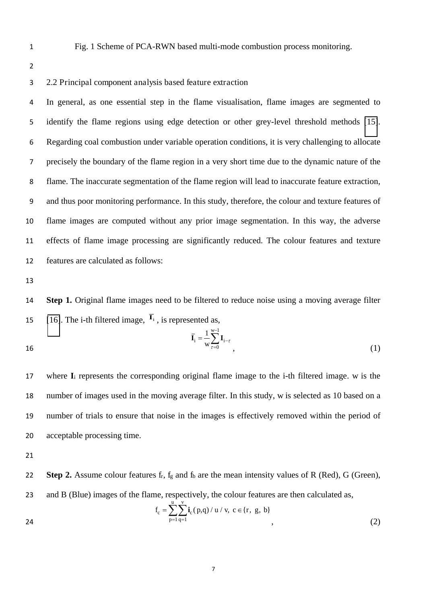1 Fig. 1 Scheme of PCA-RWN based multi-mode combustion process monitoring.

2

#### 3 2.2 Principal component analysis based feature extraction

In general, as one essential step in the flame visualisation, flame images are segmented to identify the flame regions using edge detection or other grey-level threshold methods [\[15\]](#page-23-3). Regarding coal combustion under variable operation conditions, it is very challenging to allocate precisely the boundary of the flame region in a very short time due to the dynamic nature of the flame. The inaccurate segmentation of the flame region will lead to inaccurate feature extraction, and thus poor monitoring performance. In this study, therefore, the colour and texture features of flame images are computed without any prior image segmentation. In this way, the adverse effects of flame image processing are significantly reduced. The colour features and texture features are calculated as follows:

13

14 **Step 1.** Original flame images need to be filtered to reduce noise using a moving average filter 15 [\[16\]](#page-23-4). The i-th filtered image,  $\overline{I}_i$ , is represented as,

16 
$$
\overline{\mathbf{I}}_{i} = \frac{1}{w} \sum_{\tau=0}^{w-1} \mathbf{I}_{i-\tau}
$$
 (1)

 where **I**<sup>i</sup> represents the corresponding original flame image to the i-th filtered image. w is the number of images used in the moving average filter. In this study, w is selected as 10 based on a number of trials to ensure that noise in the images is effectively removed within the period of acceptable processing time.

21

22 **Step 2.** Assume colour features f<sub>r</sub>, f<sub>g</sub> and f<sub>b</sub> are the mean intensity values of R (Red), G (Green), 23 and B (Blue) images of the flame, respectively, the colour features are then calculated as, u v

24 
$$
f_c = \sum_{p=1}^{n} \sum_{q=1}^{n} i_c(p,q) / u / v, c \in \{r, g, b\}
$$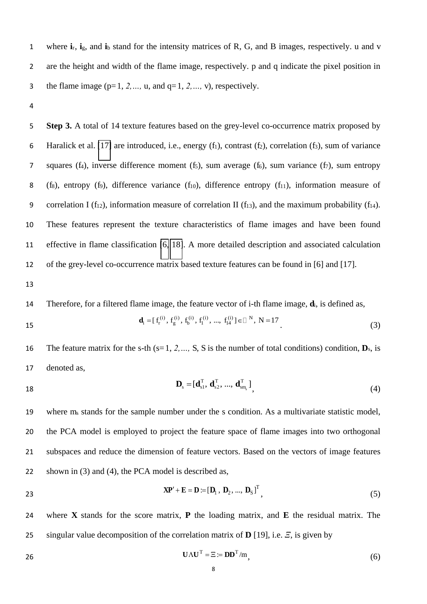1 where **i**r, **i**g, and **i**b stand for the intensity matrices of R, G, and B images, respectively. u and v 2 are the height and width of the flame image, respectively. p and q indicate the pixel position in 3 the flame image  $(p=1, 2, ..., u,$  and  $q=1, 2, ..., v)$ , respectively.

4

5 **Step 3.** A total of 14 texture features based on the grey-level co-occurrence matrix proposed by 6 Haralick et al. [\[17\]](#page-23-5) are introduced, i.e., energy  $(f_1)$ , contrast  $(f_2)$ , correlation  $(f_3)$ , sum of variance 7 squares (f<sub>4</sub>), inverse difference moment (f<sub>5</sub>), sum average (f<sub>6</sub>), sum variance (f<sub>7</sub>), sum entropy 8 (fs), entropy (f9), difference variance (f<sub>10</sub>), difference entropy (f<sub>11</sub>), information measure of 9 correlation I ( $f_{12}$ ), information measure of correlation II ( $f_{13}$ ), and the maximum probability ( $f_{14}$ ). 10 These features represent the texture characteristics of flame images and have been found 11 effective in flame classification [\[6,](#page-22-4) [18\]](#page-23-6). A more detailed description and associated calculation 12 of the grey-level co-occurrence matrix based texture features can be found in [6] and [17].

13

14 Therefore, for a filtered flame image, the feature vector of i-th flame image, **d**i, is defined as,

15 
$$
\mathbf{d}_{i} = [f_{r}^{(i)}, f_{g}^{(i)}, f_{b}^{(i)}, f_{1}^{(i)}, ..., f_{14}^{(i)}] \in \mathbb{R}^{N}, N = 17
$$
\n(3)

16 The feature matrix for the s-th (s=1, 2, …, S, S is the number of total conditions) condition,  $\mathbf{D}_s$ , is 17 denoted as,

$$
\mathbf{D}_{\mathrm{s}} = [\mathbf{d}_{\mathrm{s1}}^{\mathrm{T}}, \mathbf{d}_{\mathrm{s2}}^{\mathrm{T}}, ..., \mathbf{d}_{\mathrm{s}m_{\mathrm{s}}}^{\mathrm{T}}], \tag{4}
$$

 where ms stands for the sample number under the s condition. As a multivariate statistic model, the PCA model is employed to project the feature space of flame images into two orthogonal subspaces and reduce the dimension of feature vectors. Based on the vectors of image features shown in (3) and (4), the PCA model is described as,

**23**  $\mathbf{X} \mathbf{P}' + \mathbf{E} = \mathbf{D} := [\mathbf{D}_1, \mathbf{D}_2, ..., \mathbf{D}_S]^T$  (5)

24 where **X** stands for the score matrix, **P** the loading matrix, and **E** the residual matrix. The 25 singular value decomposition of the correlation matrix of **D** [19], i.e. *を*, is given by

$$
U\Lambda U^{T} = \Xi := DD^{T}/m,
$$
\n(6)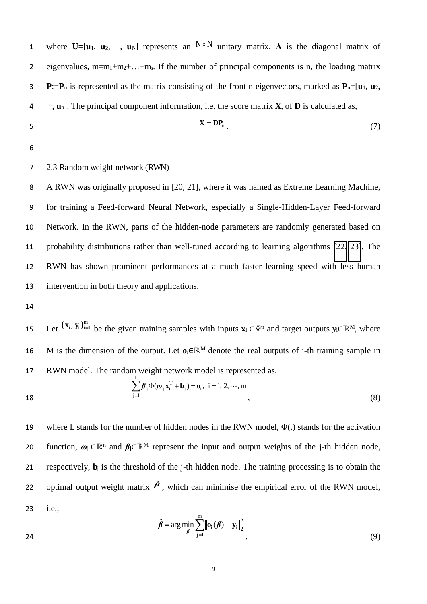1 where  $U=[u_1, u_2, ..., u_N]$  represents an  $N \times N$  unitary matrix,  $\Lambda$  is the diagonal matrix of 2 eigenvalues,  $m=m_1+m_2+...+m_s$ . If the number of principal components is n, the loading matrix 3 **P**:**=P**<sup>n</sup> is represented as the matrix consisting of the front n eigenvectors, marked as **P**n**=**[**u**1**, u**2**,**  *…* 4 **, u**n]. The principal component information, i.e. the score matrix **X**, of **D** is calculated as,  $X = DP_n$  (7)

6

#### 7 2.3 Random weight network (RWN)

A RWN was originally proposed in [20, 21], where it was named as Extreme Learning Machine, for training a Feed-forward Neural Network, especially a Single-Hidden-Layer Feed-forward Network. In the RWN, parts of the hidden-node parameters are randomly generated based on probability distributions rather than well-tuned according to learning algorithms [\[22,](#page-23-7) [23\]](#page-24-0). The RWN has shown prominent performances at a much faster learning speed with less human intervention in both theory and applications.

14

15 Let  $\{x_i, y_i\}_{i=1}^m$  be the given training samples with inputs  $x_i \in \mathbb{R}^n$  and target outputs  $y_i \in \mathbb{R}^M$ , where 16 M is the dimension of the output. Let  $\mathbf{o}_i \in \mathbb{R}^M$  denote the real outputs of i-th training sample in 17 RWN model. The random weight network model is represented as, L

$$
\sum_{j=1} \beta_j \Phi(\omega_j \mathbf{x}_i^T + \mathbf{b}_j) = \mathbf{o}_i, \ i = 1, 2, \cdots, m
$$
\n
$$
\tag{8}
$$

19 where L stands for the number of hidden nodes in the RWN model,  $\Phi(.)$  stands for the activation function,  $\omega_j \in \mathbb{R}^n$  and  $\beta_j \in \mathbb{R}^M$  represent the input and output weights of the j-th hidden node, 21 respectively,  $\mathbf{b}_i$  is the threshold of the j-th hidden node. The training processing is to obtain the 22 optimal output weight matrix  $\hat{\beta}$ , which can minimise the empirical error of the RWN model, 23 i.e.,

$$
\hat{\boldsymbol{\beta}} = \arg\min_{\boldsymbol{\beta}} \sum_{j=1}^{m} \left\| \mathbf{o}_{i}(\boldsymbol{\beta}) - \mathbf{y}_{i} \right\|_{2}^{2} \tag{9}
$$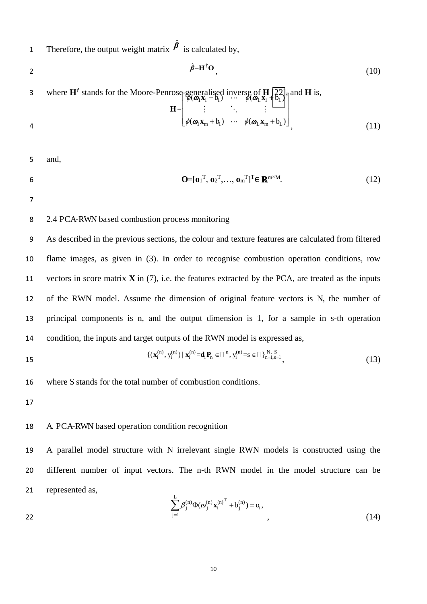Therefore, the output weight matrix  $\hat{\beta}$  is calculated by,

$$
\hat{\beta} = \mathbf{H}^{\dagger} \mathbf{O},\tag{10}
$$

3 where  $H^{\dagger}$  stands for the Moore-Penrose-generalised inverse of **H** [\[22\]](#page-23-7)<sub> $\bar{\eta}$ </sub> and **H** is,  $\begin{bmatrix} \mathcal{L} & \mathcal{L} \\ \mathcal{P}(\boldsymbol{\omega}_1 \mathbf{x}_1 + \mathbf{b}_1) & \cdots & \mathcal{P}(\boldsymbol{\omega}_L \mathbf{x}_1 + \mathbf{b}_L) \end{bmatrix}$ 

$$
\mathbf{H} = \begin{bmatrix} \ddots & \ddots & \ddots & \vdots \\ \vdots & \ddots & \ddots & \vdots \\ \phi(\boldsymbol{\omega}_{1} \mathbf{x}_{m} + \mathbf{b}_{1}) & \cdots & \phi(\boldsymbol{\omega}_{L} \mathbf{x}_{m} + \mathbf{b}_{L}) \end{bmatrix}, \qquad (11)
$$

5 and,

**6**  $\mathbf{O}=[\mathbf{o}_1^{\mathrm{T}}, \mathbf{o}_2^{\mathrm{T}}, \dots, \mathbf{o}_m^{\mathrm{T}}]^{\mathrm{T}} \in \mathbb{R}^{m \times M}$ . (12)

#### 7

#### 8 2.4 PCA-RWN based combustion process monitoring

As described in the previous sections, the colour and texture features are calculated from filtered flame images, as given in (3). In order to recognise combustion operation conditions, row vectors in score matrix **X** in (7), i.e. the features extracted by the PCA, are treated as the inputs of the RWN model. Assume the dimension of original feature vectors is N, the number of principal components is n, and the output dimension is 1, for a sample in s-th operation condition, the inputs and target outputs of the RWN model is expressed as,

15 
$$
\{(\mathbf{x}_i^{(n)}, y_i^{(n)}) | \mathbf{x}_i^{(n)} = \mathbf{d}_i \mathbf{P}_n \in \mathbb{D}^n, y_i^{(n)} = s \in \mathbb{D} \}_{n=1, s=1}^N,
$$
 (13)

16 where S stands for the total number of combustion conditions.

17

#### 18 A. PCA-RWN based operation condition recognition

19 A parallel model structure with N irrelevant single RWN models is constructed using the 20 different number of input vectors. The n-th RWN model in the model structure can be 21 represented as,

22 
$$
\sum_{j=1}^{L} \beta_j^{(n)} \Phi(\omega_j^{(n)} {\mathbf{x}_i^{(n)}}^T + b_j^{(n)}) = o_i,
$$
 (14)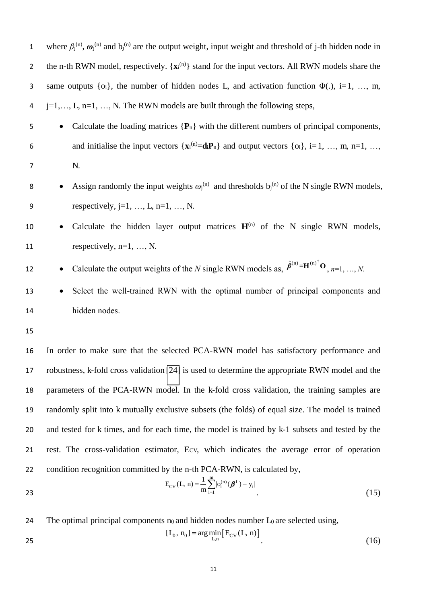| 22<br>23       | condition recognition committed by the n-th PCA-RWN, is calculated by,<br>$E_{CV}(L, n) = \frac{1}{m} \sum_{i=1}^{m}  o_i^{(n)}(\boldsymbol{\beta}^L) - y_i $<br>(15) |
|----------------|-----------------------------------------------------------------------------------------------------------------------------------------------------------------------|
| 21             | rest. The cross-validation estimator, Ecv, which indicates the average error of operation                                                                             |
| 20             | and tested for k times, and for each time, the model is trained by k-1 subsets and tested by the                                                                      |
| 19             | randomly split into k mutually exclusive subsets (the folds) of equal size. The model is trained                                                                      |
| 18             | parameters of the PCA-RWN model. In the k-fold cross validation, the training samples are                                                                             |
| 17             | robustness, k-fold cross validation [24] is used to determine the appropriate RWN model and the                                                                       |
| 16             | In order to make sure that the selected PCA-RWN model has satisfactory performance and                                                                                |
| 15             |                                                                                                                                                                       |
| 14             | hidden nodes.                                                                                                                                                         |
| 13             | Select the well-trained RWN with the optimal number of principal components and<br>٠                                                                                  |
| 12             | Calculate the output weights of the N single RWN models as, $\hat{\beta}^{(n)} = \mathbf{H}^{(n)^\mathsf{T}} \mathbf{O}_{n, n=1, , N}$ .                              |
| 11             | respectively, $n=1, , N$ .                                                                                                                                            |
| 10             | Calculate the hidden layer output matrices $H^{(n)}$ of the N single RWN models,<br>$\bullet$                                                                         |
| 9              | respectively, $j=1, , L, n=1, , N$ .                                                                                                                                  |
| 8              | Assign randomly the input weights $\omega_j^{(n)}$ and thresholds $b_j^{(n)}$ of the N single RWN models,                                                             |
| $\overline{7}$ | N.                                                                                                                                                                    |
| 6              | and initialise the input vectors $\{x_i^{(n)}=d_iP_n\}$ and output vectors $\{o_i\}$ , i=1, , m, n=1, ,                                                               |
| 5              | Calculate the loading matrices $\{P_n\}$ with the different numbers of principal components,<br>$\bullet$                                                             |
| 4              | $j=1,\ldots,L$ , $n=1,\ldots,N$ . The RWN models are built through the following steps,                                                                               |
| 3              | same outputs $\{o_i\}$ , the number of hidden nodes L, and activation function $\Phi(.)$ , i=1, , m,                                                                  |
| $\overline{2}$ | the n-th RWN model, respectively. $\{x_i^{(n)}\}$ stand for the input vectors. All RWN models share the                                                               |
| $\mathbf{1}$   | where $\beta_j^{(n)}$ , $\omega_j^{(n)}$ and $b_j^{(n)}$ are the output weight, input weight and threshold of j-th hidden node in                                     |

24 The optimal principal components no and hidden nodes number  $L_0$  are selected using,

$$
[L_0, n_0] = \arg\min_{L,n} [E_{CV}(L, n)]
$$
\n(16)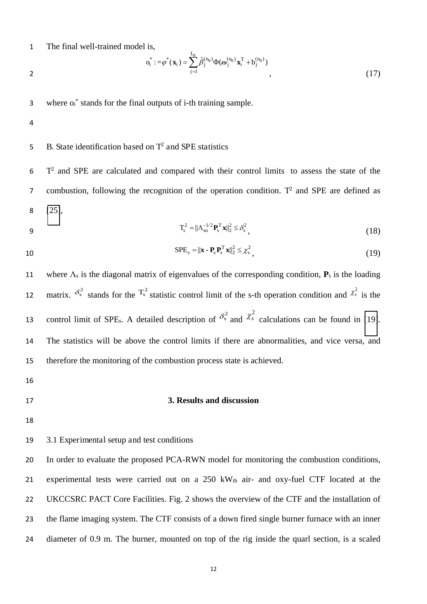1 The final well-trained model is,

$$
o_i^* := \varphi^*(\mathbf{x}_i) = \sum_{j=1}^{L_0} \hat{\beta}_j^{(n_0)} \Phi(\boldsymbol{\omega}_j^{(n_0)} \mathbf{x}_i^T + b_j^{(n_0)})
$$
\n
$$
\tag{17}
$$

 $3$  where  $o_i^*$  stands for the final outputs of i-th training sample.

- 4
- 5 B. State identification based on  $T^2$  and SPE statistics

 $5$  T<sup>2</sup> and SPE are calculated and compared with their control limits to assess the state of the 7 combustion, following the recognition of the operation condition.  $T^2$  and SPE are defined as 8 [\[25\]](#page-24-2),

$$
\mathbf{T}_{\mathrm{s}}^2 = ||\boldsymbol{\Lambda}_{\mathrm{sn}}^{-1/2} \mathbf{P}_{\mathrm{s}}^{\mathrm{T}} \mathbf{x}||_2^2 \le \delta_{\mathrm{s}}^2 \,, \tag{18}
$$

$$
SPE_s = ||\mathbf{x} - \mathbf{P}_s \mathbf{P}_s^T \mathbf{x}||_2^2 \leq \chi_s^2,
$$
\n(19)

11 where  $\Lambda_s$  is the diagonal matrix of eigenvalues of the corresponding condition,  $P_s$  is the loading 12 matrix.  $\delta_s^2$  stands for the  $T_s^2$  statistic control limit of the s-th operation condition and  $\chi_s^2$  is the 13 control limit of SPE<sub>s</sub>. A detailed description of  $\delta_s^2$  and  $\chi_s^2$  calculations can be found in [\[19\]](#page-23-8). 14 The statistics will be above the control limits if there are abnormalities, and vice versa, and 15 therefore the monitoring of the combustion process state is achieved.

- 16
- 

#### 17 **3. Results and discussion**

18

19 3.1 Experimental setup and test conditions

 In order to evaluate the proposed PCA-RWN model for monitoring the combustion conditions, experimental tests were carried out on a 250 kWth air- and oxy-fuel CTF located at the 22 UKCCSRC PACT Core Facilities. Fig. 2 shows the overview of the CTF and the installation of the flame imaging system. The CTF consists of a down fired single burner furnace with an inner diameter of 0.9 m. The burner, mounted on top of the rig inside the quarl section, is a scaled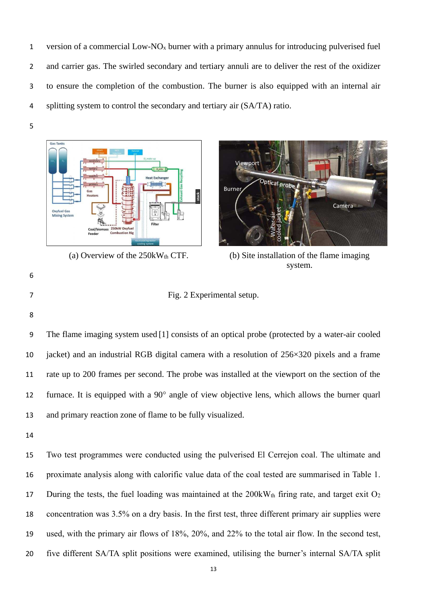version of a commercial Low-NOx burner with a primary annulus for introducing pulverised fuel and carrier gas. The swirled secondary and tertiary annuli are to deliver the rest of the oxidizer to ensure the completion of the combustion. The burner is also equipped with an internal air splitting system to control the secondary and tertiary air (SA/TA) ratio.





(a) Overview of the  $250kW_{th}$  CTF. (b) Site installation of the flame imaging system.

- Fig. 2 Experimental setup.
- 

The flame imaging system used [1] consists of an optical probe (protected by a water-air cooled jacket) and an industrial RGB digital camera with a resolution of 256×320 pixels and a frame rate up to 200 frames per second. The probe was installed at the viewport on the section of the 12 furnace. It is equipped with a  $90^\circ$  angle of view objective lens, which allows the burner quarl and primary reaction zone of flame to be fully visualized.

 Two test programmes were conducted using the pulverised El Cerrejon coal. The ultimate and proximate analysis along with calorific value data of the coal tested are summarised in Table 1. 17 During the tests, the fuel loading was maintained at the 200kWth firing rate, and target exit O<sub>2</sub> concentration was 3.5% on a dry basis. In the first test, three different primary air supplies were used, with the primary air flows of 18%, 20%, and 22% to the total air flow. In the second test, five different SA/TA split positions were examined, utilising the burner's internal SA/TA split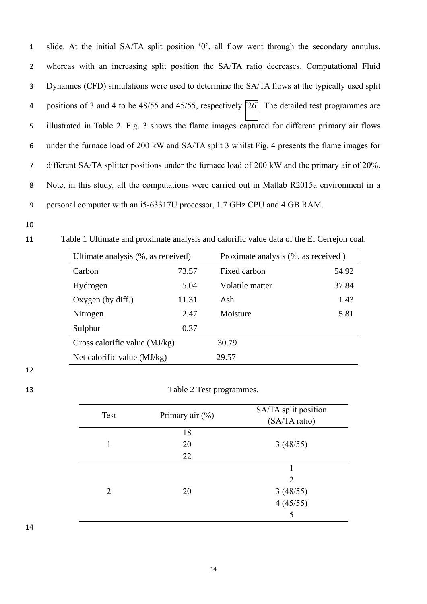slide. At the initial SA/TA split position '0', all flow went through the secondary annulus, whereas with an increasing split position the SA/TA ratio decreases. Computational Fluid Dynamics (CFD) simulations were used to determine the SA/TA flows at the typically used split positions of 3 and 4 to be 48/55 and 45/55, respectively [\[26\]](#page-24-3). The detailed test programmes are illustrated in Table 2. Fig. 3 shows the flame images captured for different primary air flows under the furnace load of 200 kW and SA/TA split 3 whilst Fig. 4 presents the flame images for different SA/TA splitter positions under the furnace load of 200 kW and the primary air of 20%. Note, in this study, all the computations were carried out in Matlab R2015a environment in a personal computer with an i5-63317U processor, 1.7 GHz CPU and 4 GB RAM.

Table 1 Ultimate and proximate analysis and calorific value data of the El Cerrejon coal.

| Ultimate analysis (%, as received) |       | Proximate analysis (%, as received) |       |
|------------------------------------|-------|-------------------------------------|-------|
| Carbon                             | 73.57 | Fixed carbon                        | 54.92 |
| Hydrogen                           | 5.04  | Volatile matter                     | 37.84 |
| Oxygen (by diff.)                  | 11.31 | Ash                                 | 1.43  |
| Nitrogen                           | 2.47  | Moisture                            | 5.81  |
| Sulphur                            | 0.37  |                                     |       |
| Gross calorific value $(MJ/kg)$    |       | 30.79                               |       |
| Net calorific value (MJ/kg)        |       | 29.57                               |       |

#### 

#### Table 2 Test programmes.

| Test                        | Primary air (%) | SA/TA split position<br>(SA/TA ratio) |
|-----------------------------|-----------------|---------------------------------------|
|                             | 18              |                                       |
|                             | 20              | 3(48/55)                              |
|                             | 22              |                                       |
|                             |                 |                                       |
|                             |                 | $\mathfrak{D}$                        |
| $\mathcal{D}_{\mathcal{L}}$ | 20              |                                       |
|                             |                 | $3(48/55)$<br>4(45/55)                |
|                             |                 | 5                                     |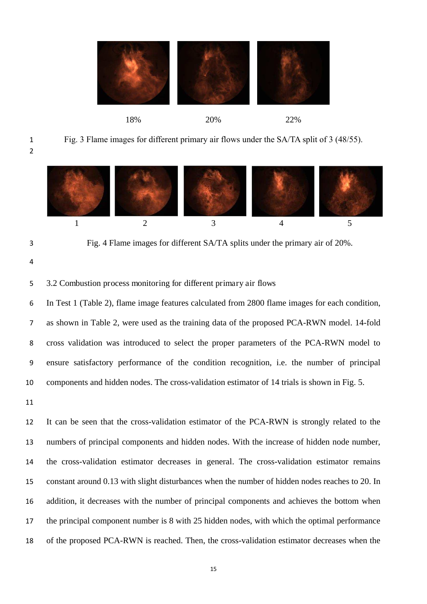

### 18% 20% 22%

Fig. 3 Flame images for different primary air flows under the SA/TA split of 3 (48/55).





Fig. 4 Flame images for different SA/TA splits under the primary air of 20%.

3.2 Combustion process monitoring for different primary air flows

In Test 1 (Table 2), flame image features calculated from 2800 flame images for each condition, as shown in Table 2, were used as the training data of the proposed PCA-RWN model. 14-fold cross validation was introduced to select the proper parameters of the PCA-RWN model to ensure satisfactory performance of the condition recognition, i.e. the number of principal components and hidden nodes. The cross-validation estimator of 14 trials is shown in Fig. 5.

 It can be seen that the cross-validation estimator of the PCA-RWN is strongly related to the numbers of principal components and hidden nodes. With the increase of hidden node number, the cross-validation estimator decreases in general. The cross-validation estimator remains constant around 0.13 with slight disturbances when the number of hidden nodes reaches to 20. In addition, it decreases with the number of principal components and achieves the bottom when the principal component number is 8 with 25 hidden nodes, with which the optimal performance of the proposed PCA-RWN is reached. Then, the cross-validation estimator decreases when the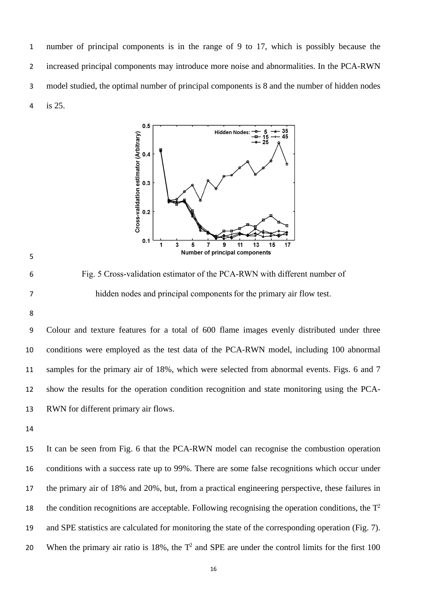number of principal components is in the range of 9 to 17, which is possibly because the increased principal components may introduce more noise and abnormalities. In the PCA-RWN model studied, the optimal number of principal components is 8 and the number of hidden nodes is 25.





Fig. 5 Cross-validation estimator of the PCA-RWN with different number of 7 hidden nodes and principal components for the primary air flow test.

Colour and texture features for a total of 600 flame images evenly distributed under three conditions were employed as the test data of the PCA-RWN model, including 100 abnormal samples for the primary air of 18%, which were selected from abnormal events. Figs. 6 and 7 show the results for the operation condition recognition and state monitoring using the PCA-RWN for different primary air flows.

 It can be seen from Fig. 6 that the PCA-RWN model can recognise the combustion operation conditions with a success rate up to 99%. There are some false recognitions which occur under the primary air of 18% and 20%, but, from a practical engineering perspective, these failures in the condition recognitions are acceptable. Following recognising the operation conditions, the  $T<sup>2</sup>$  and SPE statistics are calculated for monitoring the state of the corresponding operation (Fig. 7). 20 When the primary air ratio is 18%, the  $T^2$  and SPE are under the control limits for the first 100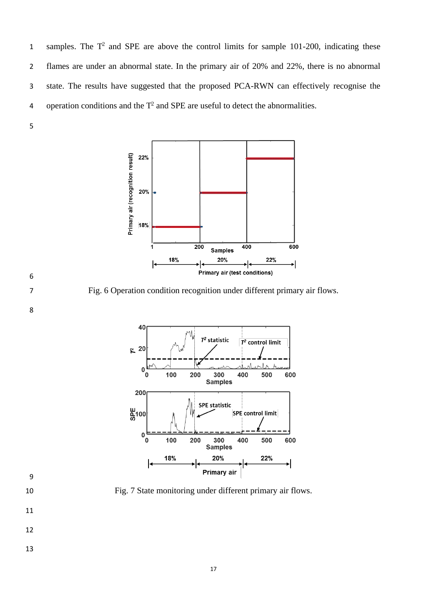1 samples. The  $T^2$  and SPE are above the control limits for sample 101-200, indicating these flames are under an abnormal state. In the primary air of 20% and 22%, there is no abnormal state. The results have suggested that the proposed PCA-RWN can effectively recognise the q operation conditions and the  $T^2$  and SPE are useful to detect the abnormalities.





Fig. 7 State monitoring under different primary air flows.

- 
- 
-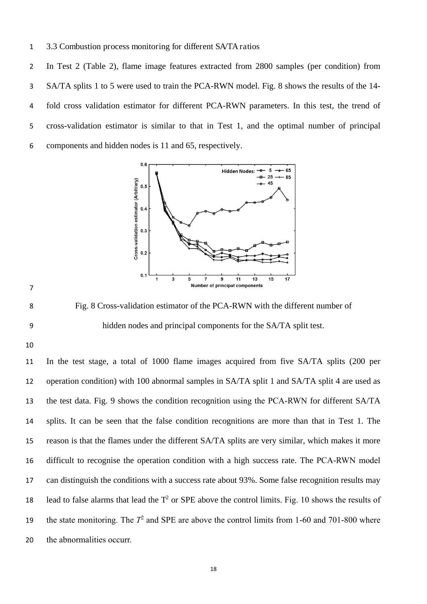3.3 Combustion process monitoring for different SA/TA ratios

In Test 2 (Table 2), flame image features extracted from 2800 samples (per condition) from SA/TA splits 1 to 5 were used to train the PCA-RWN model. Fig. 8 shows the results of the 14- fold cross validation estimator for different PCA-RWN parameters. In this test, the trend of cross-validation estimator is similar to that in Test 1, and the optimal number of principal components and hidden nodes is 11 and 65, respectively.



Fig. 8 Cross-validation estimator of the PCA-RWN with the different number of hidden nodes and principal components for the SA/TA split test.

 In the test stage, a total of 1000 flame images acquired from five SA/TA splits (200 per operation condition) with 100 abnormal samples in SA/TA split 1 and SA/TA split 4 are used as the test data. Fig. 9 shows the condition recognition using the PCA-RWN for different SA/TA splits. It can be seen that the false condition recognitions are more than that in Test 1. The reason is that the flames under the different SA/TA splits are very similar, which makes it more difficult to recognise the operation condition with a high success rate. The PCA-RWN model can distinguish the conditions with a success rate about 93%. Some false recognition results may 18 lead to false alarms that lead the  $T^2$  or SPE above the control limits. Fig. 10 shows the results of 19 the state monitoring. The  $T^2$  and SPE are above the control limits from 1-60 and 701-800 where the abnormalities occurr.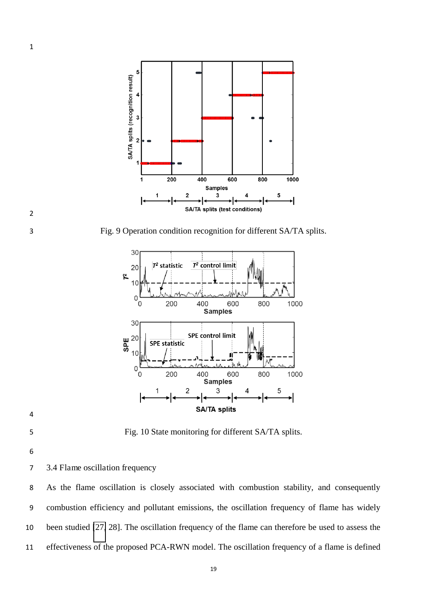

Fig. 9 Operation condition recognition for different SA/TA splits.



Fig. 10 State monitoring for different SA/TA splits.

- 
- 3.4 Flame oscillation frequency

As the flame oscillation is closely associated with combustion stability, and consequently combustion efficiency and pollutant emissions, the oscillation frequency of flame has widely been studied [\[27,](#page-24-4) 28]. The oscillation frequency of the flame can therefore be used to assess the effectiveness of the proposed PCA-RWN model. The oscillation frequency of a flame is defined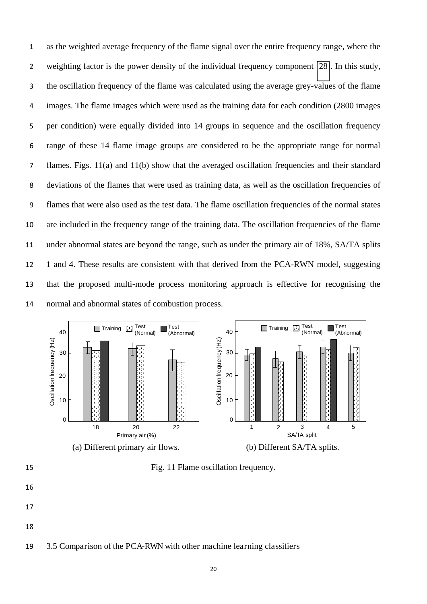as the weighted average frequency of the flame signal over the entire frequency range, where the weighting factor is the power density of the individual frequency component [\[28\]](#page-24-5). In this study, the oscillation frequency of the flame was calculated using the average grey-values of the flame images. The flame images which were used as the training data for each condition (2800 images per condition) were equally divided into 14 groups in sequence and the oscillation frequency range of these 14 flame image groups are considered to be the appropriate range for normal flames. Figs. 11(a) and 11(b) show that the averaged oscillation frequencies and their standard deviations of the flames that were used as training data, as well as the oscillation frequencies of flames that were also used as the test data. The flame oscillation frequencies of the normal states are included in the frequency range of the training data. The oscillation frequencies of the flame under abnormal states are beyond the range, such as under the primary air of 18%, SA/TA splits 1 and 4. These results are consistent with that derived from the PCA-RWN model, suggesting that the proposed multi-mode process monitoring approach is effective for recognising the normal and abnormal states of combustion process.





Fig. 11 Flame oscillation frequency.

- 
- 
- 

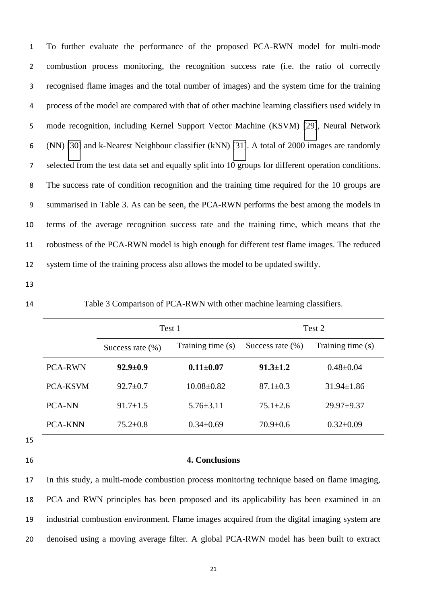To further evaluate the performance of the proposed PCA-RWN model for multi-mode combustion process monitoring, the recognition success rate (i.e. the ratio of correctly recognised flame images and the total number of images) and the system time for the training process of the model are compared with that of other machine learning classifiers used widely in mode recognition, including Kernel Support Vector Machine (KSVM) [\[29\]](#page-24-6), Neural Network (NN) [\[30\]](#page-24-7) and k-Nearest Neighbour classifier (kNN) [\[31\]](#page-24-8). A total of 2000 images are randomly selected from the test data set and equally split into 10 groups for different operation conditions. The success rate of condition recognition and the training time required for the 10 groups are summarised in Table 3. As can be seen, the PCA-RWN performs the best among the models in terms of the average recognition success rate and the training time, which means that the robustness of the PCA-RWN model is high enough for different test flame images. The reduced system time of the training process also allows the model to be updated swiftly.

Table 3 Comparison of PCA-RWN with other machine learning classifiers.

|                 | Test 1               |                   | Test 2               |                   |  |
|-----------------|----------------------|-------------------|----------------------|-------------------|--|
|                 | Success rate $(\% )$ | Training time (s) | Success rate $(\% )$ | Training time (s) |  |
| <b>PCA-RWN</b>  | $92.9 \pm 0.9$       | $0.11 \pm 0.07$   | $91.3 \pm 1.2$       | $0.48 \pm 0.04$   |  |
| <b>PCA-KSVM</b> | $92.7 \pm 0.7$       | $10.08 \pm 0.82$  | $87.1 \pm 0.3$       | $31.94 \pm 1.86$  |  |
| <b>PCA-NN</b>   | $91.7 \pm 1.5$       | $5.76 \pm 3.11$   | $75.1 \pm 2.6$       | $29.97 + 9.37$    |  |
| <b>PCA-KNN</b>  | $75.2 \pm 0.8$       | $0.34 \pm 0.69$   | $70.9 \pm 0.6$       | $0.32 \pm 0.09$   |  |

- 
- 

#### **4. Conclusions**

<span id="page-21-0"></span> In this study, a multi-mode combustion process monitoring technique based on flame imaging, PCA and RWN principles has been proposed and its applicability has been examined in an industrial combustion environment. Flame images acquired from the digital imaging system are denoised using a moving average filter. A global PCA-RWN model has been built to extract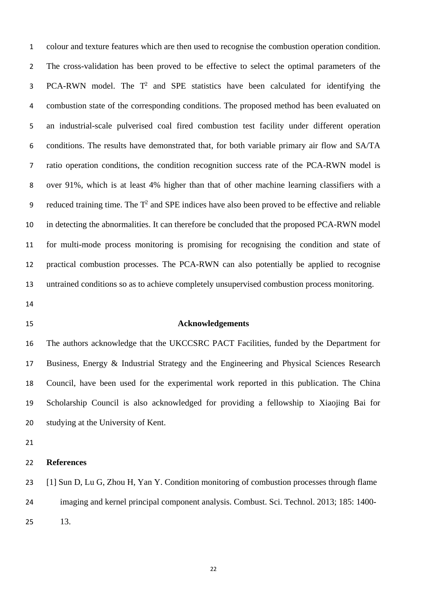<span id="page-22-2"></span><span id="page-22-1"></span><span id="page-22-0"></span>colour and texture features which are then used to recognise the combustion operation condition. The cross-validation has been proved to be effective to select the optimal parameters of the 3 PCA-RWN model. The  $T^2$  and SPE statistics have been calculated for identifying the combustion state of the corresponding conditions. The proposed method has been evaluated on an industrial-scale pulverised coal fired combustion test facility under different operation conditions. The results have demonstrated that, for both variable primary air flow and SA/TA ratio operation conditions, the condition recognition success rate of the PCA-RWN model is over 91%, which is at least 4% higher than that of other machine learning classifiers with a 9 reduced training time. The  $T^2$  and SPE indices have also been proved to be effective and reliable in detecting the abnormalities. It can therefore be concluded that the proposed PCA-RWN model for multi-mode process monitoring is promising for recognising the condition and state of practical combustion processes. The PCA-RWN can also potentially be applied to recognise untrained conditions so as to achieve completely unsupervised combustion process monitoring.

- <span id="page-22-4"></span><span id="page-22-3"></span>
- 

#### <span id="page-22-5"></span>**Acknowledgements**

<span id="page-22-6"></span> The authors acknowledge that the UKCCSRC PACT Facilities, funded by the Department for Business, Energy & Industrial Strategy and the Engineering and Physical Sciences Research Council, have been used for the experimental work reported in this publication. The China Scholarship Council is also acknowledged for providing a fellowship to Xiaojing Bai for studying at the University of Kent.

<span id="page-22-7"></span>

#### <span id="page-22-8"></span>**References**

<span id="page-22-9"></span> [1] Sun D, Lu G, Zhou H, Yan Y. Condition monitoring of combustion processes through flame imaging and kernel principal component analysis. Combust. Sci. Technol. 2013; 185: 1400- 13.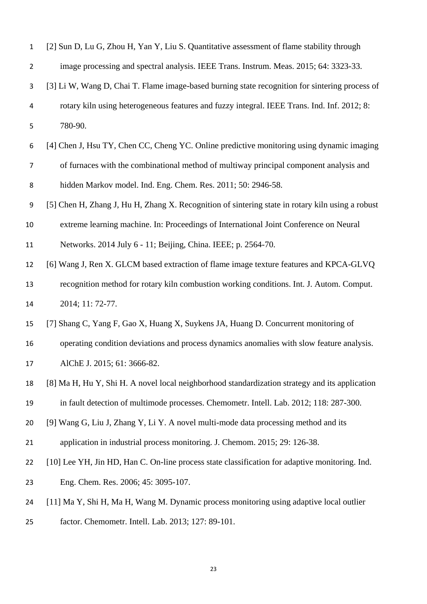<span id="page-23-8"></span><span id="page-23-7"></span><span id="page-23-6"></span><span id="page-23-5"></span><span id="page-23-4"></span><span id="page-23-3"></span><span id="page-23-2"></span><span id="page-23-1"></span><span id="page-23-0"></span>

| $\mathbf{1}$   | [2] Sun D, Lu G, Zhou H, Yan Y, Liu S. Quantitative assessment of flame stability through        |
|----------------|--------------------------------------------------------------------------------------------------|
| $\overline{2}$ | image processing and spectral analysis. IEEE Trans. Instrum. Meas. 2015; 64: 3323-33.            |
| 3              | [3] Li W, Wang D, Chai T. Flame image-based burning state recognition for sintering process of   |
| 4              | rotary kiln using heterogeneous features and fuzzy integral. IEEE Trans. Ind. Inf. 2012; 8:      |
| 5              | 780-90.                                                                                          |
| 6              | [4] Chen J, Hsu TY, Chen CC, Cheng YC. Online predictive monitoring using dynamic imaging        |
| $\overline{7}$ | of furnaces with the combinational method of multiway principal component analysis and           |
| 8              | hidden Markov model. Ind. Eng. Chem. Res. 2011; 50: 2946-58.                                     |
| 9              | [5] Chen H, Zhang J, Hu H, Zhang X. Recognition of sintering state in rotary kiln using a robust |
| 10             | extreme learning machine. In: Proceedings of International Joint Conference on Neural            |
| 11             | Networks. 2014 July 6 - 11; Beijing, China. IEEE; p. 2564-70.                                    |
| 12             | [6] Wang J, Ren X. GLCM based extraction of flame image texture features and KPCA-GLVQ           |
| 13             | recognition method for rotary kiln combustion working conditions. Int. J. Autom. Comput.         |
| 14             | 2014; 11: 72-77.                                                                                 |
| 15             | [7] Shang C, Yang F, Gao X, Huang X, Suykens JA, Huang D. Concurrent monitoring of               |
| 16             | operating condition deviations and process dynamics anomalies with slow feature analysis.        |
| 17             | AlChE J. 2015; 61: 3666-82.                                                                      |
| 18             | [8] Ma H, Hu Y, Shi H. A novel local neighborhood standardization strategy and its application   |
| 19             | in fault detection of multimode processes. Chemometr. Intell. Lab. 2012; 118: 287-300.           |
| 20             | [9] Wang G, Liu J, Zhang Y, Li Y. A novel multi-mode data processing method and its              |
| 21             | application in industrial process monitoring. J. Chemom. 2015; 29: 126-38.                       |
| 22             | [10] Lee YH, Jin HD, Han C. On-line process state classification for adaptive monitoring. Ind.   |
| 23             | Eng. Chem. Res. 2006; 45: 3095-107.                                                              |
| 24             | [11] Ma Y, Shi H, Ma H, Wang M. Dynamic process monitoring using adaptive local outlier          |
| 25             | factor. Chemometr. Intell. Lab. 2013; 127: 89-101.                                               |
|                |                                                                                                  |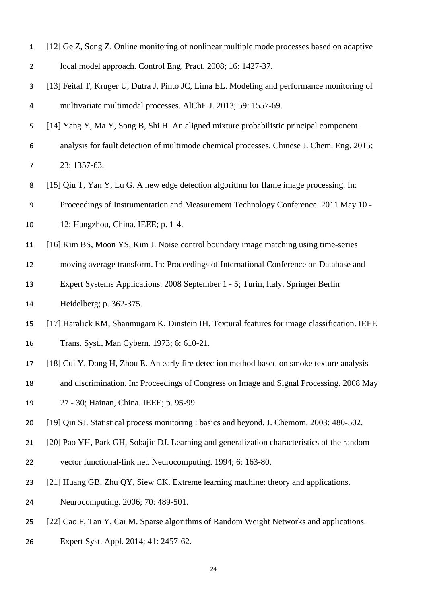<span id="page-24-8"></span><span id="page-24-7"></span><span id="page-24-6"></span><span id="page-24-5"></span><span id="page-24-4"></span><span id="page-24-3"></span><span id="page-24-2"></span><span id="page-24-1"></span><span id="page-24-0"></span>

| $\mathbf{1}$   | [12] Ge Z, Song Z. Online monitoring of nonlinear multiple mode processes based on adaptive  |
|----------------|----------------------------------------------------------------------------------------------|
| $\overline{2}$ | local model approach. Control Eng. Pract. 2008; 16: 1427-37.                                 |
| 3              | [13] Feital T, Kruger U, Dutra J, Pinto JC, Lima EL. Modeling and performance monitoring of  |
| 4              | multivariate multimodal processes. AlChE J. 2013; 59: 1557-69.                               |
| 5              | [14] Yang Y, Ma Y, Song B, Shi H. An aligned mixture probabilistic principal component       |
| 6              | analysis for fault detection of multimode chemical processes. Chinese J. Chem. Eng. 2015;    |
| $\overline{7}$ | 23: 1357-63.                                                                                 |
| 8              | [15] Qiu T, Yan Y, Lu G. A new edge detection algorithm for flame image processing. In:      |
| 9              | Proceedings of Instrumentation and Measurement Technology Conference. 2011 May 10 -          |
| 10             | 12; Hangzhou, China. IEEE; p. 1-4.                                                           |
| 11             | [16] Kim BS, Moon YS, Kim J. Noise control boundary image matching using time-series         |
| 12             | moving average transform. In: Proceedings of International Conference on Database and        |
| 13             | Expert Systems Applications. 2008 September 1 - 5; Turin, Italy. Springer Berlin             |
| 14             | Heidelberg; p. 362-375.                                                                      |
| 15             | [17] Haralick RM, Shanmugam K, Dinstein IH. Textural features for image classification. IEEE |
| 16             | Trans. Syst., Man Cybern. 1973; 6: 610-21.                                                   |
| 17             | [18] Cui Y, Dong H, Zhou E. An early fire detection method based on smoke texture analysis   |
| 18             | and discrimination. In: Proceedings of Congress on Image and Signal Processing. 2008 May     |
| 19             | 27 - 30; Hainan, China. IEEE; p. 95-99.                                                      |
| 20             | [19] Qin SJ. Statistical process monitoring : basics and beyond. J. Chemom. 2003: 480-502.   |
| 21             | [20] Pao YH, Park GH, Sobajic DJ. Learning and generalization characteristics of the random  |
| 22             | vector functional-link net. Neurocomputing. 1994; 6: 163-80.                                 |
| 23             | [21] Huang GB, Zhu QY, Siew CK. Extreme learning machine: theory and applications.           |
| 24             | Neurocomputing. 2006; 70: 489-501.                                                           |
| 25             | [22] Cao F, Tan Y, Cai M. Sparse algorithms of Random Weight Networks and applications.      |
| 26             | Expert Syst. Appl. 2014; 41: 2457-62.                                                        |